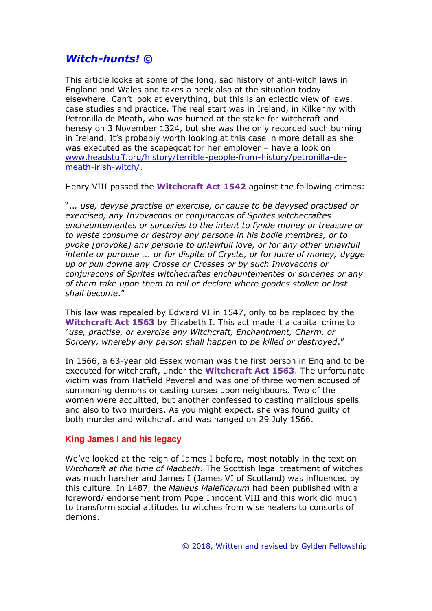# *Witch-hunts! ©*

This article looks at some of the long, sad history of anti-witch laws in England and Wales and takes a peek also at the situation today elsewhere. Can't look at everything, but this is an eclectic view of laws, case studies and practice. The real start was in Ireland, in Kilkenny with Petronilla de Meath, who was burned at the stake for witchcraft and heresy on 3 November 1324, but she was the only recorded such burning in Ireland. It's probably worth looking at this case in more detail as she was executed as the scapegoat for her employer – have a look on [www.headstuff.org/history/terrible-people-from-history/petronilla-de](http://www.headstuff.org/history/terrible-people-from-history/petronilla-de-meath-irish-witch/)[meath-irish-witch/.](http://www.headstuff.org/history/terrible-people-from-history/petronilla-de-meath-irish-witch/)

Henry VIII passed the **Witchcraft Act 1542** against the following crimes:

"..*. use, devyse practise or exercise, or cause to be devysed practised or exercised, any Invovacons or conjuracons of Sprites witchecraftes enchauntementes or sorceries to the intent to fynde money or treasure or to waste consume or destroy any persone in his bodie membres, or to pvoke [provoke] any persone to unlawfull love, or for any other unlawfull intente or purpose ... or for dispite of Cryste, or for lucre of money, dygge up or pull downe any Crosse or Crosses or by such Invovacons or conjuracons of Sprites witchecraftes enchauntementes or sorceries or any of them take upon them to tell or declare where goodes stollen or lost shall become*."

This law was repealed by Edward VI in 1547, only to be replaced by the **Witchcraft Act 1563** by Elizabeth I. This act made it a capital crime to "*use, practise, or exercise any Witchcraft, Enchantment, Charm, or Sorcery, whereby any person shall happen to be killed or destroyed*."

In 1566, a 63-year old Essex woman was the first person in England to be executed for witchcraft, under the **Witchcraft Act 1563**. The unfortunate victim was from Hatfield Peverel and was one of three women accused of summoning demons or casting curses upon neighbours. Two of the women were acquitted, but another confessed to casting malicious spells and also to two murders. As you might expect, she was found guilty of both murder and witchcraft and was hanged on 29 July 1566.

# **King James I and his legacy**

We've looked at the reign of James I before, most notably in the text on *Witchcraft at the time of Macbeth*. The Scottish legal treatment of witches was much harsher and James I (James VI of Scotland) was influenced by this culture. In 1487, the *Malleus Maleficarum* had been published with a foreword/ endorsement from Pope Innocent VIII and this work did much to transform social attitudes to witches from wise healers to consorts of demons.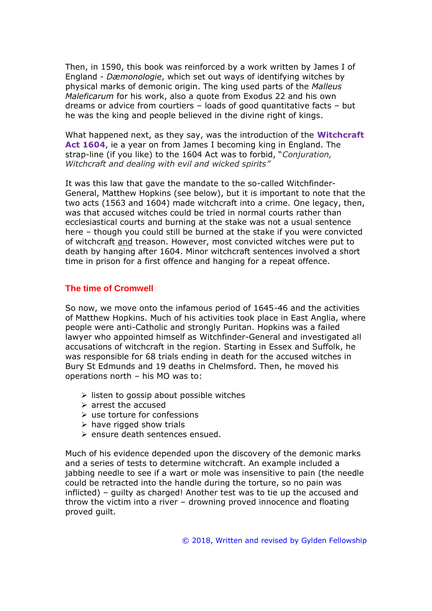Then, in 1590, this book was reinforced by a work written by James I of England - *Dæmonologie*, which set out ways of identifying witches by physical marks of demonic origin. The king used parts of the *Malleus Maleficarum* for his work, also a quote from Exodus 22 and his own dreams or advice from courtiers – loads of good quantitative facts – but he was the king and people believed in the divine right of kings.

What happened next, as they say, was the introduction of the **Witchcraft Act 1604**, ie a year on from James I becoming king in England. The strap-line (if you like) to the 1604 Act was to forbid, "*Conjuration, Witchcraft and dealing with evil and wicked spirits"*

It was this law that gave the mandate to the so-called Witchfinder-General, Matthew Hopkins (see below), but it is important to note that the two acts (1563 and 1604) made witchcraft into a crime. One legacy, then, was that accused witches could be tried in normal courts rather than ecclesiastical courts and burning at the stake was not a usual sentence here – though you could still be burned at the stake if you were convicted of witchcraft and treason. However, most convicted witches were put to death by hanging after 1604. Minor witchcraft sentences involved a short time in prison for a first offence and hanging for a repeat offence.

### **The time of Cromwell**

So now, we move onto the infamous period of 1645-46 and the activities of Matthew Hopkins. Much of his activities took place in East Anglia, where people were anti-Catholic and strongly Puritan. Hopkins was a failed lawyer who appointed himself as Witchfinder-General and investigated all accusations of witchcraft in the region. Starting in Essex and Suffolk, he was responsible for 68 trials ending in death for the accused witches in Bury St Edmunds and 19 deaths in Chelmsford. Then, he moved his operations north – his MO was to:

- $\triangleright$  listen to gossip about possible witches
- $\triangleright$  arrest the accused
- $\triangleright$  use torture for confessions
- $\triangleright$  have rigged show trials
- ➢ ensure death sentences ensued.

Much of his evidence depended upon the discovery of the demonic marks and a series of tests to determine witchcraft. An example included a jabbing needle to see if a wart or mole was insensitive to pain (the needle could be retracted into the handle during the torture, so no pain was inflicted) – guilty as charged! Another test was to tie up the accused and throw the victim into a river – drowning proved innocence and floating proved guilt.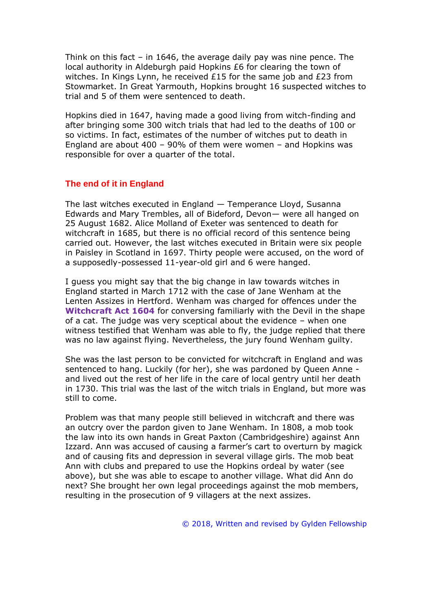Think on this fact – in 1646, the average daily pay was nine pence. The local authority in Aldeburgh paid Hopkins £6 for clearing the town of witches. In Kings Lynn, he received £15 for the same job and £23 from Stowmarket. In Great Yarmouth, Hopkins brought 16 suspected witches to trial and 5 of them were sentenced to death.

Hopkins died in 1647, having made a good living from witch-finding and after bringing some 300 witch trials that had led to the deaths of 100 or so victims. In fact, estimates of the number of witches put to death in England are about 400 – 90% of them were women – and Hopkins was responsible for over a quarter of the total.

### **The end of it in England**

The last witches executed in England — Temperance Lloyd, Susanna Edwards and Mary Trembles, all of Bideford, Devon— were all hanged on 25 August 1682. Alice Molland of Exeter was sentenced to death for witchcraft in 1685, but there is no official record of this sentence being carried out. However, the last witches executed in Britain were six people in Paisley in Scotland in 1697. Thirty people were accused, on the word of a supposedly-possessed 11-year-old girl and 6 were hanged.

I guess you might say that the big change in law towards witches in England started in March 1712 with the case of Jane Wenham at the Lenten Assizes in Hertford. Wenham was charged for offences under the **Witchcraft Act 1604** for conversing familiarly with the Devil in the shape of a cat. The judge was very sceptical about the evidence – when one witness testified that Wenham was able to fly, the judge replied that there was no law against flying. Nevertheless, the jury found Wenham guilty.

She was the last person to be convicted for witchcraft in England and was sentenced to hang. Luckily (for her), she was pardoned by Queen Anne and lived out the rest of her life in the care of local gentry until her death in 1730. This trial was the last of the witch trials in England, but more was still to come.

Problem was that many people still believed in witchcraft and there was an outcry over the pardon given to Jane Wenham. In 1808, a mob took the law into its own hands in Great Paxton (Cambridgeshire) against Ann Izzard. Ann was accused of causing a farmer's cart to overturn by magick and of causing fits and depression in several village girls. The mob beat Ann with clubs and prepared to use the Hopkins ordeal by water (see above), but she was able to escape to another village. What did Ann do next? She brought her own legal proceedings against the mob members, resulting in the prosecution of 9 villagers at the next assizes.